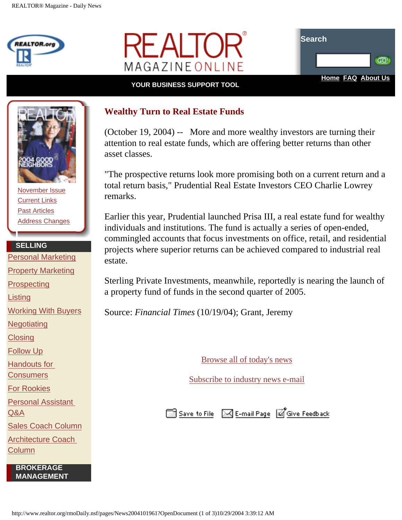





## **YOUR BUSINESS SUPPORT TOOL**



[November Issue](http://www.realtor.org/rmomag.NSF/pages/tocprintNov04?OpenDocument) [Current Links](http://www.realtor.org/rmomag.NSF/pages/currentlinksNov04?OpenDocument) [Past Articles](http://www.realtor.org/rmomag.nsf/AllIssDt?OpenView) [Address Changes](http://www.realtor.org/rmodaily.nsf/pages/aboutussubscriptions?OpenDocument)

## **SELLING**

[Personal Marketing](http://www.realtor.org/rmotoolkits.nsf/pages/permarkmain?OpenDocument&ExpandView&count=1000) [Property Marketing](http://www.realtor.org/rmotoolkits.nsf/pages/propmarkmain?OpenDocument&ExpandView&count=1000) **[Prospecting](http://www.realtor.org/rmotoolkits.nsf/pages/prospectmain?OpenDocument&ExpandView&count=1000) [Listing](http://www.realtor.org/rmotoolkits.nsf/pages/listingsmain?OpenDocument&ExpandView&count=1000)** [Working With Buyers](http://www.realtor.org/rmotoolkits.nsf/pages/buyermain?OpenDocument&ExpandView&count=1000) **[Negotiating](http://www.realtor.org/rmotoolkits.nsf/pages/Negotiationmain?OpenDocument&ExpandView&count=1000) [Closing](http://www.realtor.org/rmotoolkits.nsf/pages/closingmain?OpenDocument&ExpandView&count=1000)** [Follow Up](http://www.realtor.org/rmotoolkits.nsf/pages/FollowUpMain?OpenDocument&ExpandView&count=1000) [Handouts for](http://www.realtor.org/rmotoolkits.nsf/pages/consumermain?OpenDocument&ExpandView&count=1000)  **[Consumers](http://www.realtor.org/rmotoolkits.nsf/pages/consumermain?OpenDocument&ExpandView&count=1000)** [For Rookies](http://www.realtor.org/rmotoolkits.nsf/pages/rookiesmain_new?OpenDocument&Start=1&Count=1000) [Personal Assistant](http://www.realtor.org/rmoadvisors.nsf/contentPages/Personal%20Assistant%20Advisor?OpenDocument&RestrictToCategory=Personal%20Assistant%20Advisor) [Q&A](http://www.realtor.org/rmoadvisors.nsf/contentPages/Personal%20Assistant%20Advisor?OpenDocument&RestrictToCategory=Personal%20Assistant%20Advisor) [Sales Coach Column](http://www.realtor.org/rmomag.NSF/pages/slscoach?OpenDocument)

[Architecture Coach](http://www.realtor.org/rmomag.NSF/pages/archcoach?OpenDocument) [Column](http://www.realtor.org/rmomag.NSF/pages/archcoach?OpenDocument)

> **BROKERAGE MANAGEMENT**

## **Wealthy Turn to Real Estate Funds**

(October 19, 2004) -- More and more wealthy investors are turning their attention to real estate funds, which are offering better returns than other asset classes.

"The prospective returns look more promising both on a current return and a total return basis," Prudential Real Estate Investors CEO Charlie Lowrey remarks.

Earlier this year, Prudential launched Prisa III, a real estate fund for wealthy individuals and institutions. The fund is actually a series of open-ended, commingled accounts that focus investments on office, retail, and residential projects where superior returns can be achieved compared to industrial real estate.

Sterling Private Investments, meanwhile, reportedly is nearing the launch of a property fund of funds in the second quarter of 2005.

Source: *Financial Times* (10/19/04); Grant, Jeremy

[Browse all of today's news](http://www.realtor.org/rmodaily.nsf/topstories/topstories)

[Subscribe to industry news e-mail](http://www.realtor.org/roreg.nsf/emailprofile?OpenForm#RMONews)

Save to File 3 E-mail Page 3 Give Feedback